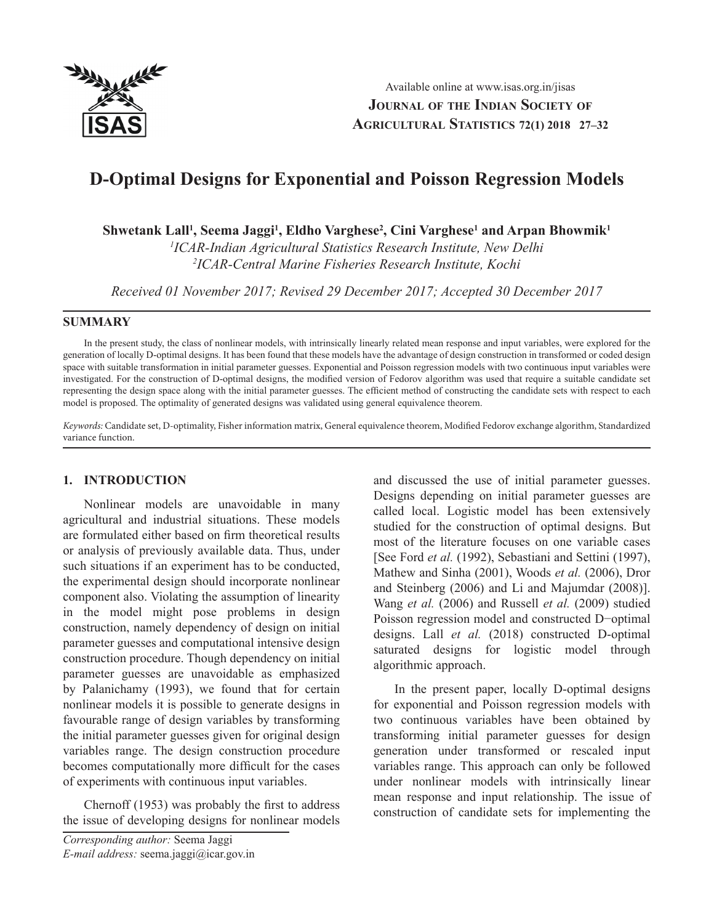

# **D-Optimal Designs for Exponential and Poisson Regression Models**

 $\mathbf{S}$ hwetank Lall<sup>1</sup>, Seema Jaggi<sup>1</sup>, Eldho Varghese<sup>2</sup>, Cini Varghese<sup>1</sup> and Arpan Bhowmik<sup>1</sup>

*1 ICAR-Indian Agricultural Statistics Research Institute, New Delhi 2 ICAR-Central Marine Fisheries Research Institute, Kochi*

*Received 01 November 2017; Revised 29 December 2017; Accepted 30 December 2017*

### **SUMMARY**

In the present study, the class of nonlinear models, with intrinsically linearly related mean response and input variables, were explored for the generation of locally D-optimal designs. It has been found that these models have the advantage of design construction in transformed or coded design space with suitable transformation in initial parameter guesses. Exponential and Poisson regression models with two continuous input variables were investigated. For the construction of D-optimal designs, the modified version of Fedorov algorithm was used that require a suitable candidate set representing the design space along with the initial parameter guesses. The efficient method of constructing the candidate sets with respect to each model is proposed. The optimality of generated designs was validated using general equivalence theorem.

*Keywords:* Candidate set, D-optimality, Fisher information matrix, General equivalence theorem, Modified Fedorov exchange algorithm, Standardized variance function.

## **1. INTRODUCTION**

Nonlinear models are unavoidable in many agricultural and industrial situations. These models are formulated either based on firm theoretical results or analysis of previously available data. Thus, under such situations if an experiment has to be conducted, the experimental design should incorporate nonlinear component also. Violating the assumption of linearity in the model might pose problems in design construction, namely dependency of design on initial parameter guesses and computational intensive design construction procedure. Though dependency on initial parameter guesses are unavoidable as emphasized by Palanichamy (1993), we found that for certain nonlinear models it is possible to generate designs in favourable range of design variables by transforming the initial parameter guesses given for original design variables range. The design construction procedure becomes computationally more difficult for the cases of experiments with continuous input variables.

Chernoff (1953) was probably the first to address the issue of developing designs for nonlinear models and discussed the use of initial parameter guesses. Designs depending on initial parameter guesses are called local. Logistic model has been extensively studied for the construction of optimal designs. But most of the literature focuses on one variable cases [See Ford *et al.* (1992), Sebastiani and Settini (1997), Mathew and Sinha (2001), Woods *et al.* (2006), Dror and Steinberg (2006) and Li and Majumdar (2008)]. Wang *et al.* (2006) and Russell *et al.* (2009) studied Poisson regression model and constructed D−optimal designs. Lall *et al.* (2018) constructed D-optimal saturated designs for logistic model through algorithmic approach.

In the present paper, locally D-optimal designs for exponential and Poisson regression models with two continuous variables have been obtained by transforming initial parameter guesses for design generation under transformed or rescaled input variables range. This approach can only be followed under nonlinear models with intrinsically linear mean response and input relationship. The issue of construction of candidate sets for implementing the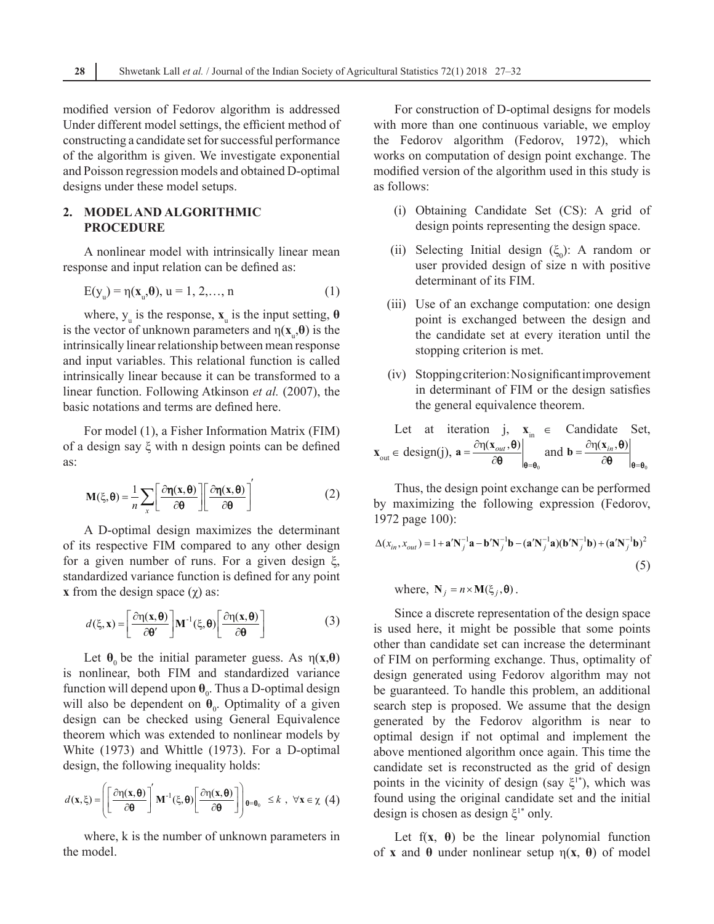modified version of Fedorov algorithm is addressed Under different model settings, the efficient method of constructing a candidate set for successful performance of the algorithm is given. We investigate exponential and Poisson regression models and obtained D-optimal designs under these model setups.

## **2. Model and Algorithmic Procedure**

A nonlinear model with intrinsically linear mean response and input relation can be defined as:

$$
E(y_u) = \eta(\mathbf{x}_u, \mathbf{\theta}), u = 1, 2, ..., n
$$
 (1)

where,  $y_u$  is the response,  $\mathbf{x}_u$  is the input setting,  $\boldsymbol{\theta}$ is the vector of unknown parameters and  $\eta(\mathbf{x}_u, \boldsymbol{\theta})$  is the intrinsically linear relationship between mean response and input variables. This relational function is called intrinsically linear because it can be transformed to a linear function. Following Atkinson *et al.* (2007), the basic notations and terms are defined here.

For model (1), a Fisher Information Matrix (FIM) of a design say ξ with n design points can be defined as:

$$
\mathbf{M}(\xi,\boldsymbol{\theta}) = \frac{1}{n} \sum_{x} \left[ \frac{\partial \eta(x,\boldsymbol{\theta})}{\partial \boldsymbol{\theta}} \right] \left[ \frac{\partial \eta(x,\boldsymbol{\theta})}{\partial \boldsymbol{\theta}} \right]'
$$
(2)

A D-optimal design maximizes the determinant of its respective FIM compared to any other design for a given number of runs. For a given design ξ, standardized variance function is defined for any point **x** from the design space  $(\gamma)$  as:

$$
d(\xi, \mathbf{x}) = \left[\frac{\partial \eta(\mathbf{x}, \boldsymbol{\theta})}{\partial \boldsymbol{\theta}'}\right] \mathbf{M}^{-1}(\xi, \boldsymbol{\theta}) \left[\frac{\partial \eta(\mathbf{x}, \boldsymbol{\theta})}{\partial \boldsymbol{\theta}}\right]
$$
(3)

Let  $\theta_0$  be the initial parameter guess. As  $\eta(x,\theta)$ is nonlinear, both FIM and standardized variance function will depend upon  $\theta_0$ . Thus a D-optimal design will also be dependent on  $\theta_0$ . Optimality of a given design can be checked using General Equivalence theorem which was extended to nonlinear models by White (1973) and Whittle (1973). For a D-optimal design, the following inequality holds:

$$
d(\mathbf{x},\xi) = \left( \left[ \frac{\partial \eta(\mathbf{x},\boldsymbol{\theta})}{\partial \boldsymbol{\theta}} \right] \mathbf{M}^{-1}(\xi,\boldsymbol{\theta}) \left[ \frac{\partial \eta(\mathbf{x},\boldsymbol{\theta})}{\partial \boldsymbol{\theta}} \right] \right)_{\boldsymbol{\theta}=\boldsymbol{\theta}_0} \leq k \ , \ \forall \mathbf{x} \in \chi \ (4)
$$

where, k is the number of unknown parameters in the model.

For construction of D-optimal designs for models with more than one continuous variable, we employ the Fedorov algorithm (Fedorov, 1972), which works on computation of design point exchange. The modified version of the algorithm used in this study is as follows:

- (i) Obtaining Candidate Set (CS): A grid of design points representing the design space.
- (ii) Selecting Initial design  $(\xi_0)$ : A random or user provided design of size n with positive determinant of its FIM.
- (iii) Use of an exchange computation: one design point is exchanged between the design and the candidate set at every iteration until the stopping criterion is met.
- (iv) Stopping criterion: No significant improvement in determinant of FIM or the design satisfies the general equivalence theorem.

Let at iteration j, 
$$
\mathbf{x}_{in} \in
$$
 Candidate Set,  
\n $\mathbf{x}_{out} \in \text{design}(j), \mathbf{a} = \frac{\partial \eta(\mathbf{x}_{out}, \boldsymbol{\theta})}{\partial \boldsymbol{\theta}} \bigg|_{\boldsymbol{\theta} = \boldsymbol{\theta}_0} \text{ and } \mathbf{b} = \frac{\partial \eta(\mathbf{x}_{in}, \boldsymbol{\theta})}{\partial \boldsymbol{\theta}} \bigg|_{\boldsymbol{\theta} = \boldsymbol{\theta}_0}$ 

Thus, the design point exchange can be performed by maximizing the following expression (Fedorov, 1972 page 100):

$$
\Delta(x_{in}, x_{out}) = 1 + \mathbf{a}' \mathbf{N}_j^{-1} \mathbf{a} - \mathbf{b}' \mathbf{N}_j^{-1} \mathbf{b} - (\mathbf{a}' \mathbf{N}_j^{-1} \mathbf{a}) (\mathbf{b}' \mathbf{N}_j^{-1} \mathbf{b}) + (\mathbf{a}' \mathbf{N}_j^{-1} \mathbf{b})^2
$$
\n(5)

where,  $N_i = n \times M(\xi_i, \theta)$ .

Since a discrete representation of the design space is used here, it might be possible that some points other than candidate set can increase the determinant of FIM on performing exchange. Thus, optimality of design generated using Fedorov algorithm may not be guaranteed. To handle this problem, an additional search step is proposed. We assume that the design generated by the Fedorov algorithm is near to optimal design if not optimal and implement the above mentioned algorithm once again. This time the candidate set is reconstructed as the grid of design points in the vicinity of design (say  $\xi^{1*}$ ), which was found using the original candidate set and the initial design is chosen as design  $\xi$ <sup>1</sup>\* only.

Let  $f(x, \theta)$  be the linear polynomial function of **x** and **θ** under nonlinear setup η(**x**, **θ**) of model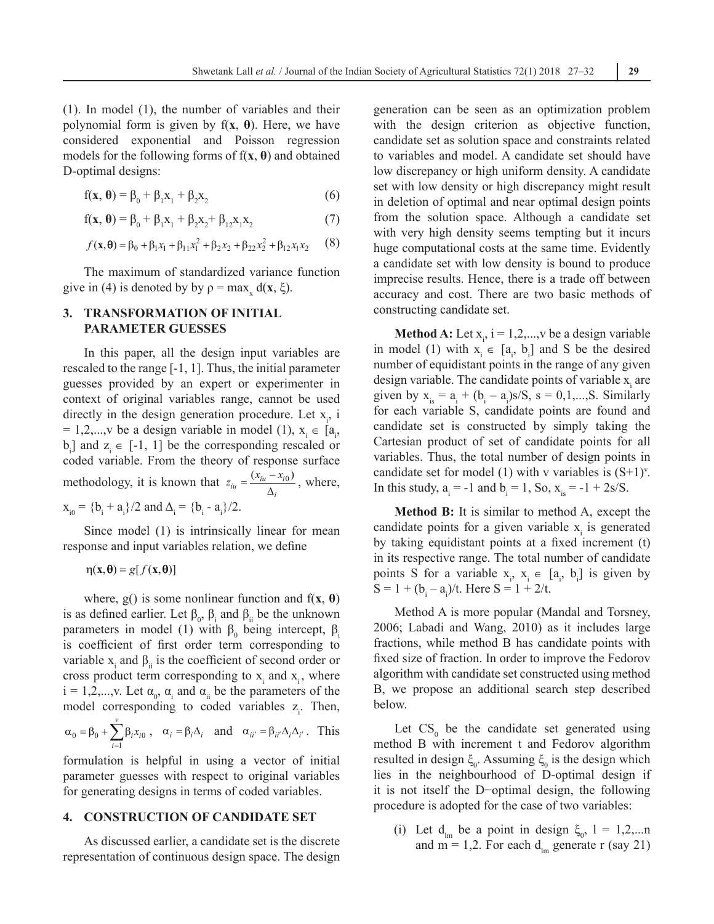(1). In model (1), the number of variables and their polynomial form is given by f(**x**, **θ**). Here, we have considered exponential and Poisson regression models for the following forms of f(**x**, **θ**) and obtained D-optimal designs:

$$
f(\mathbf{x}, \boldsymbol{\theta}) = \beta_0 + \beta_1 x_1 + \beta_2 x_2 \tag{6}
$$

$$
f(x, \theta) = \beta_0 + \beta_1 x_1 + \beta_2 x_2 + \beta_{12} x_1 x_2 \tag{7}
$$

$$
f(\mathbf{x}, \mathbf{\Theta}) = \beta_0 + \beta_1 x_1 + \beta_{11} x_1^2 + \beta_2 x_2 + \beta_{22} x_2^2 + \beta_{12} x_1 x_2 \tag{8}
$$

The maximum of standardized variance function give in (4) is denoted by by  $\rho = \max_{x} d(x, \xi)$ .

## **3. Transformation of Initial Parameter Guesses**

In this paper, all the design input variables are rescaled to the range [-1, 1]. Thus, the initial parameter guesses provided by an expert or experimenter in context of original variables range, cannot be used directly in the design generation procedure. Let  $x_i$ , i = 1,2,...,v be a design variable in model (1),  $x_i \in [a_i,$  $b_i$ ] and  $z_i \in [-1, 1]$  be the corresponding rescaled or coded variable. From the theory of response surface methodology, it is known that  $z_{iu} = \frac{(x_{iu} - x_{i0})}{\Delta_i}$ , where,  $x_{i0} = {b_i + a_i}/2$  and  $\Delta_i = {b_i - a_i}/2$ .

Since model (1) is intrinsically linear for mean response and input variables relation, we define

 $\eta$ (**x**, $\theta$ ) = g[ $f$ (**x**, $\theta$ )]

where,  $g()$  is some nonlinear function and  $f(x, \theta)$ is as defined earlier. Let  $\beta_0$ ,  $\beta_i$  and  $\beta_{ii}$  be the unknown parameters in model (1) with  $β_0$  being intercept,  $β_i$ is coefficient of first order term corresponding to variable  $x_i$  and  $\beta_{ii}$  is the coefficient of second order or cross product term corresponding to  $x_i$  and  $x_i$ , where  $i = 1, 2, \dots, v$ . Let  $\alpha_0$ ,  $\alpha_i$  and  $\alpha_{ii}$  be the parameters of the model corresponding to coded variables  $z_i$ . Then,

 $0 - P_0 \top \sum P_i \lambda_{i0}$ 1 *v*  $i^{\mathcal{A}}i$ *i x*  $\alpha_0 = \beta_0 + \sum_{i=1} \beta_i x_{i0}$ ,  $\alpha_i = \beta_i \Delta_i$  and  $\alpha_{ii'} = \beta_{ii'} \Delta_i \Delta_{i'}$ . This

formulation is helpful in using a vector of initial parameter guesses with respect to original variables for generating designs in terms of coded variables.

### **4. Construction of Candidate Set**

As discussed earlier, a candidate set is the discrete representation of continuous design space. The design generation can be seen as an optimization problem with the design criterion as objective function, candidate set as solution space and constraints related to variables and model. A candidate set should have low discrepancy or high uniform density. A candidate set with low density or high discrepancy might result in deletion of optimal and near optimal design points from the solution space. Although a candidate set with very high density seems tempting but it incurs huge computational costs at the same time. Evidently a candidate set with low density is bound to produce imprecise results. Hence, there is a trade off between accuracy and cost. There are two basic methods of constructing candidate set.

**Method A:** Let  $x_i$ ,  $i = 1,2,...,v$  be a design variable in model (1) with  $x_i \in [a_i, b_i]$  and S be the desired number of equidistant points in the range of any given design variable. The candidate points of variable  $x_i$  are given by  $x_{is} = a_i + (b_i - a_i)s/S$ ,  $s = 0,1,...,S$ . Similarly for each variable S, candidate points are found and candidate set is constructed by simply taking the Cartesian product of set of candidate points for all variables. Thus, the total number of design points in candidate set for model (1) with v variables is  $(S+1)^{y}$ . In this study,  $a_i = -1$  and  $b_i = 1$ , So,  $x_{is} = -1 + 2s/S$ .

**Method B:** It is similar to method A, except the candidate points for a given variable  $x_i$  is generated by taking equidistant points at a fixed increment (t) in its respective range. The total number of candidate points S for a variable  $x_i$ ,  $x_i \in [a_i, b_i]$  is given by  $S = 1 + (b_i - a_i)/t$ . Here  $S = 1 + 2/t$ .

Method A is more popular (Mandal and Torsney, 2006; Labadi and Wang, 2010) as it includes large fractions, while method B has candidate points with fixed size of fraction. In order to improve the Fedorov algorithm with candidate set constructed using method B, we propose an additional search step described below.

Let  $CS_0$  be the candidate set generated using method B with increment t and Fedorov algorithm resulted in design  $\xi_0$ . Assuming  $\xi_0$  is the design which lies in the neighbourhood of D-optimal design if it is not itself the D−optimal design, the following procedure is adopted for the case of two variables:

(i) Let  $d_{lm}$  be a point in design  $\xi_0$ ,  $l = 1,2,...n$ and m = 1,2. For each  $d_{lm}$  generate r (say 21)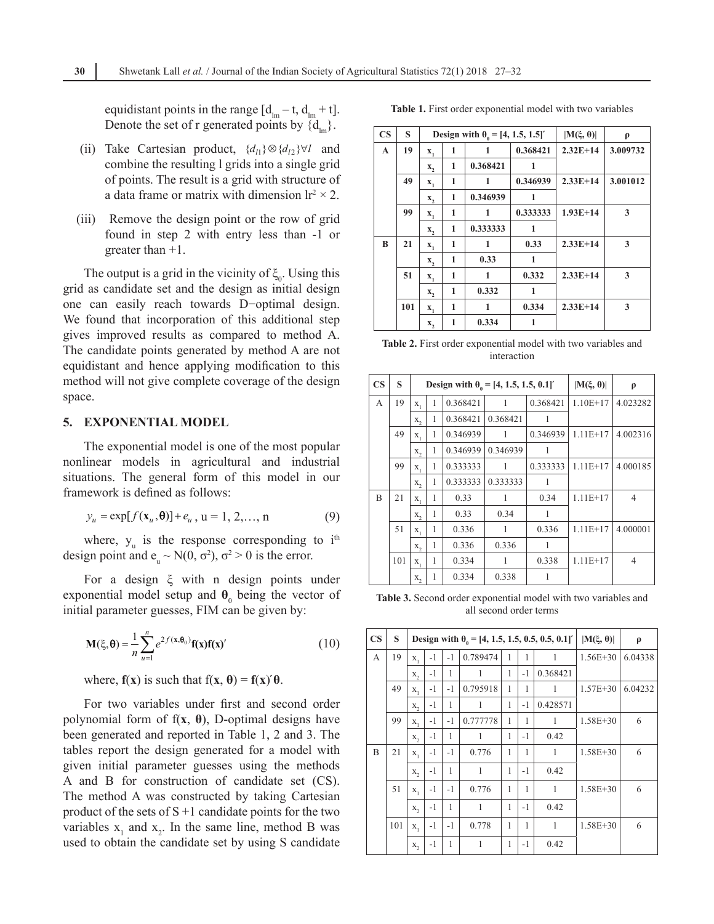equidistant points in the range  $[d<sub>lm</sub> - t, d<sub>lm</sub> + t]$ . Denote the set of r generated points by  $\{d_{lm}\}.$ 

- (ii) Take Cartesian product,  $\{d_{1}\}\otimes \{d_{12}\}\forall l$  and combine the resulting l grids into a single grid of points. The result is a grid with structure of a data frame or matrix with dimension  $Ir^2 \times 2$ .
- (iii) Remove the design point or the row of grid found in step 2 with entry less than -1 or greater than +1.

The output is a grid in the vicinity of  $\xi_0$ . Using this grid as candidate set and the design as initial design one can easily reach towards D−optimal design. We found that incorporation of this additional step gives improved results as compared to method A. The candidate points generated by method A are not equidistant and hence applying modification to this method will not give complete coverage of the design space.

#### **5. Exponential Model**

The exponential model is one of the most popular nonlinear models in agricultural and industrial situations. The general form of this model in our framework is defined as follows:

$$
y_u = \exp[f(\mathbf{x}_u, \boldsymbol{\theta})] + e_u, \, u = 1, 2, \dots, n \tag{9}
$$

where,  $y_{u}$  is the response corresponding to  $i^{th}$ design point and  $e_u \sim N(0, \sigma^2)$ ,  $\sigma^2 > 0$  is the error.

For a design ξ with n design points under exponential model setup and  $\theta_0$  being the vector of initial parameter guesses, FIM can be given by:

$$
\mathbf{M}(\xi,\boldsymbol{\theta}) = \frac{1}{n} \sum_{u=1}^{n} e^{2f(\mathbf{x},\boldsymbol{\theta}_0)} \mathbf{f}(\mathbf{x}) \mathbf{f}(\mathbf{x})' \tag{10}
$$

where,  $f(x)$  is such that  $f(x, \theta) = f(x)'\theta$ .

For two variables under first and second order polynomial form of  $f(x, \theta)$ , D-optimal designs have been generated and reported in Table 1, 2 and 3. The tables report the design generated for a model with given initial parameter guesses using the methods A and B for construction of candidate set (CS). The method A was constructed by taking Cartesian product of the sets of  $S + 1$  candidate points for the two variables  $x_1$  and  $x_2$ . In the same line, method B was used to obtain the candidate set by using S candidate

**Table 1.** First order exponential model with two variables

| $\overline{\text{CS}}$ | S   |                  |   | Design with $\theta_0 = [4, 1.5, 1.5]$ | $ M(\xi, \theta) $ | ρ          |          |
|------------------------|-----|------------------|---|----------------------------------------|--------------------|------------|----------|
| $\mathbf{A}$           | 19  | $\mathbf{x}_{1}$ | 1 |                                        | 0.368421           | $2.32E+14$ | 3.009732 |
|                        |     | x,               | 1 | 0.368421                               |                    |            |          |
|                        | 49  | $\mathbf{X}_{1}$ | 1 | 1                                      | 0.346939           | $2.33E+14$ | 3.001012 |
|                        |     | x,               | 1 | 0.346939                               | 1                  |            |          |
|                        | 99  | $\mathbf{x}_{1}$ | 1 | 1                                      | 0.333333           | $1.93E+14$ | 3        |
|                        |     | x,               | 1 | 0.333333                               | 1                  |            |          |
| B                      | 21  | $\mathbf{X}_{1}$ | 1 | 1                                      | 0.33               | $2.33E+14$ | 3        |
|                        |     | x,               | 1 | 0.33                                   | 1                  |            |          |
|                        | 51  | $\mathbf{x}_{1}$ | 1 | 1                                      | 0.332              | $2.33E+14$ | 3        |
|                        |     | x,               | 1 | 0.332                                  | 1                  |            |          |
|                        | 101 | $\mathbf{x}_1$   | 1 | 1                                      | 0.334              | $2.33E+14$ | 3        |
|                        |     | x,               | 1 | 0.334                                  | 1                  |            |          |

**Table 2.** First order exponential model with two variables and interaction

| $\mathbf{CS}$ | S   |         |   | Design with $\theta_0 = [4, 1.5, 1.5, 0.1]$ |          | $ M(\xi, \theta) $ | ρ          |                |
|---------------|-----|---------|---|---------------------------------------------|----------|--------------------|------------|----------------|
| $\mathsf{A}$  | 19  | $X_{1}$ | 1 | 0.368421                                    | 1        | 0.368421           | $1.10E+17$ | 4.023282       |
|               |     | $X_{2}$ | 1 | 0.368421                                    | 0.368421 | 1                  |            |                |
|               | 49  | $X_{1}$ | 1 | 0.346939                                    | 1        | 0.346939           | $1.11E+17$ | 4.002316       |
|               |     | $X_{2}$ | 1 | 0.346939                                    | 0.346939 | 1                  |            |                |
|               | 99  | $X_1$   | 1 | 0.333333                                    | 1        | 0.333333           | $1.11E+17$ | 4.000185       |
|               |     | $X_{2}$ | 1 | 0.333333                                    | 0.333333 | 1                  |            |                |
| B             | 21  | $X_1$   | 1 | 0.33                                        | 1        | 0.34               | $1.11E+17$ | $\overline{4}$ |
|               |     | $X_{2}$ | 1 | 0.33                                        | 0.34     | 1                  |            |                |
|               | 51  | $X_{1}$ | 1 | 0.336                                       | 1        | 0.336              | $1.11E+17$ | 4.000001       |
|               |     | $X_{2}$ | 1 | 0.336                                       | 0.336    | 1                  |            |                |
|               | 101 | $X_1$   | 1 | 0.334                                       |          | 0.338              | $1.11E+17$ | $\overline{4}$ |
|               |     | x,      | 1 | 0.334                                       | 0.338    | 1                  |            |                |

**Table 3.** Second order exponential model with two variables and all second order terms

| $\overline{\text{CS}}$ | S   |              | Design with $\theta_0 = [4, 1.5, 1.5, 0.5, 0.5, 0.1]$ |      | $ \mathbf{M}(\xi, \theta) $ | ρ            |              |              |              |         |
|------------------------|-----|--------------|-------------------------------------------------------|------|-----------------------------|--------------|--------------|--------------|--------------|---------|
| A                      | 19  | $X_{1}$      | $-1$<br>$-1$                                          |      | 0.789474                    | 1            | 1            | 1            | $1.56E + 30$ | 6.04338 |
|                        |     | $X_{2}$      | $-1$                                                  | 1    | 1                           | $\mathbf{1}$ | $-1$         | 0.368421     |              |         |
|                        | 49  | $X_1$        | $-1$                                                  | $-1$ | 0.795918                    | $\mathbf{1}$ | $\mathbf{1}$ | $\mathbf{1}$ | $1.57E + 30$ | 6.04232 |
|                        |     | $X_{\gamma}$ | $-1$                                                  | 1    | 1                           | 1            | $-1$         | 0.428571     |              |         |
|                        | 99  | $X_{1}$      | $-1$                                                  | $-1$ | 0.777778                    | 1            | 1            | 1            | $1.58E + 30$ | 6       |
|                        |     | $X_{2}$      | $-1$                                                  | 1    | 1                           | 1            | $-1$         | 0.42         |              |         |
| B                      | 21  | $X_1$        | $-1$                                                  | $-1$ | 0.776                       | 1            | 1            | 1            | $1.58E + 30$ | 6       |
|                        |     | $X_{2}$      | $-1$                                                  | 1    | 1                           | 1            | $-1$         | 0.42         |              |         |
|                        | 51  | $X_1$        | $-1$                                                  | $-1$ | 0.776                       | 1            | 1            | $\mathbf{1}$ | $1.58E + 30$ | 6       |
|                        |     | $X_{2}$      | $-1$                                                  | 1    | $\mathbf{1}$                | 1            | $-1$         | 0.42         |              |         |
|                        | 101 | $X_1$        | $-1$                                                  | $-1$ | 0.778                       | 1            | 1            | $\mathbf{1}$ | $1.58E + 30$ | 6       |
|                        |     | $X_{2}$      | $-1$                                                  | 1    | 1                           | 1            | $-1$         | 0.42         |              |         |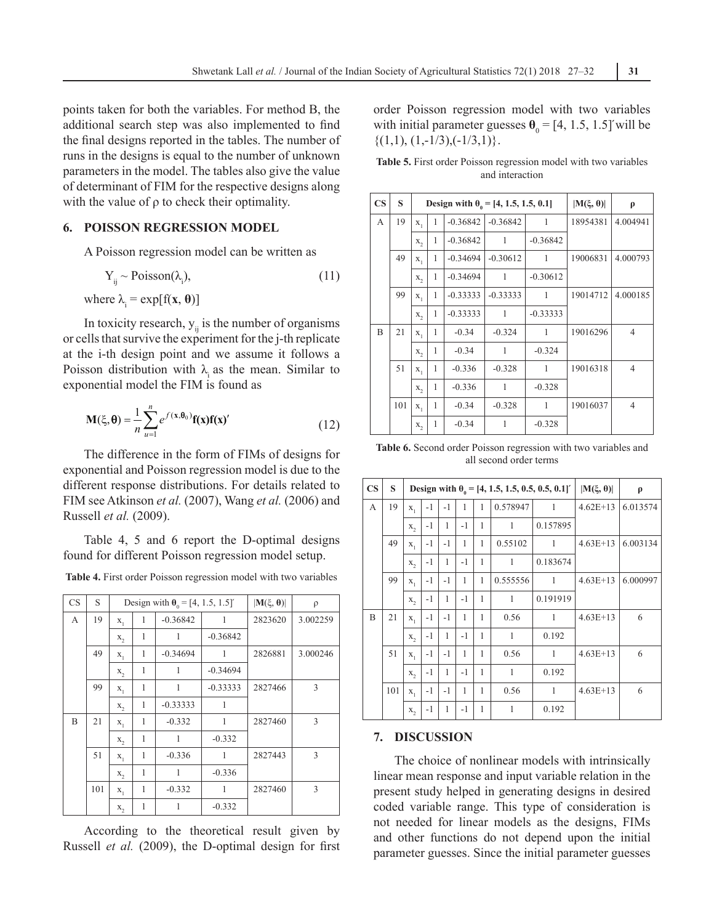points taken for both the variables. For method B, the additional search step was also implemented to find the final designs reported in the tables. The number of runs in the designs is equal to the number of unknown parameters in the model. The tables also give the value of determinant of FIM for the respective designs along with the value of  $\rho$  to check their optimality.

#### **6. Poisson Regression Model**

A Poisson regression model can be written as

$$
Y_{ij} \sim \text{Poisson}(\lambda_i),\tag{11}
$$

where  $\lambda_i = \exp[f(x, \theta)]$ 

In toxicity research,  $y_{ii}$  is the number of organisms or cells that survive the experiment for the j-th replicate at the i-th design point and we assume it follows a Poisson distribution with  $\lambda_i$  as the mean. Similar to exponential model the FIM is found as

$$
\mathbf{M}(\xi,\mathbf{\theta}) = \frac{1}{n} \sum_{u=1}^{n} e^{\int (\mathbf{x},\mathbf{\theta}_0)} \mathbf{f}(\mathbf{x}) \mathbf{f}(\mathbf{x})' \tag{12}
$$

The difference in the form of FIMs of designs for exponential and Poisson regression model is due to the different response distributions. For details related to FIM see Atkinson *et al.* (2007), Wang *et al.* (2006) and Russell *et al.* (2009).

Table 4, 5 and 6 report the D-optimal designs found for different Poisson regression model setup.

**Table 4.** First order Poisson regression model with two variables

| <b>CS</b> | S   |            |   | Design with $\theta_0 = [4, 1.5, 1.5]$ | $ \mathbf{M}(\xi, \boldsymbol{\theta}) $ | ρ       |          |
|-----------|-----|------------|---|----------------------------------------|------------------------------------------|---------|----------|
| А         | 19  | 1<br>$X_1$ |   | $-0.36842$                             | 1                                        | 2823620 | 3.002259 |
|           |     | $X_{2}$    | 1 | 1                                      | $-0.36842$                               |         |          |
|           | 49  | $X_1$      | 1 | $-0.34694$                             | 1                                        | 2826881 | 3.000246 |
|           |     | $X_{2}$    | 1 | 1                                      | $-0.34694$                               |         |          |
|           | 99  | $X_1$      | 1 | 1                                      | $-0.33333$                               | 2827466 | 3        |
|           |     | $X_{2}$    | 1 | $-0.33333$                             | 1                                        |         |          |
| B         | 21  | 1<br>$X_1$ |   | $-0.332$                               | 1                                        | 2827460 | 3        |
|           |     | $X_{2}$    | 1 | 1                                      | $-0.332$                                 |         |          |
|           | 51  | $X_1$      | 1 | $-0.336$                               | 1                                        | 2827443 | 3        |
|           |     | $X_{2}$    | 1 | 1                                      | $-0.336$                                 |         |          |
|           | 101 | $X_1$      | 1 | $-0.332$                               | 1                                        | 2827460 | 3        |
|           |     | $X_2$      | 1 | 1                                      | $-0.332$                                 |         |          |

According to the theoretical result given by Russell *et al.* (2009), the D-optimal design for first order Poisson regression model with two variables with initial parameter guesses  $\theta_0 = [4, 1.5, 1.5]$ *'* will be  $\{(1,1), (1,-1/3), (-1/3,1)\}.$ 

**Table 5.** First order Poisson regression model with two variables and interaction

| $\overline{\text{CS}}$ | S   |         |   | Design with $\theta_0 = [4, 1.5, 1.5, 0.1]$ | $ M(\xi, \theta) $ | $\rho$     |          |                |
|------------------------|-----|---------|---|---------------------------------------------|--------------------|------------|----------|----------------|
| A                      | 19  | $X_1$   | 1 | $-0.36842$                                  | $-0.36842$         | 1          | 18954381 | 4.004941       |
|                        |     | $X_{2}$ | 1 | $-0.36842$                                  | 1                  | $-0.36842$ |          |                |
|                        | 49  | $X_1$   | 1 | $-0.34694$                                  | $-0.30612$         | 1          | 19006831 | 4.000793       |
|                        |     | X,      | 1 | $-0.34694$                                  | 1                  | $-0.30612$ |          |                |
|                        | 99  | $X_1$   | 1 | $-0.33333$                                  | $-0.33333$         | 1          | 19014712 | 4.000185       |
|                        |     | $X_{2}$ | 1 | $-0.33333$                                  | 1                  | $-0.33333$ |          |                |
| B                      | 21  | $X_1$   | 1 | $-0.34$                                     | $-0.324$           | 1          | 19016296 | $\overline{4}$ |
|                        |     | $X_{2}$ | 1 | $-0.34$                                     | 1                  | $-0.324$   |          |                |
|                        | 51  | $X_1$   | 1 | $-0.336$                                    | $-0.328$           | 1          | 19016318 | $\overline{4}$ |
|                        |     | $X_{2}$ | 1 | $-0.336$                                    | 1                  | $-0.328$   |          |                |
|                        | 101 | $X_1$   | 1 | $-0.34$                                     | $-0.328$           | 1          | 19016037 | $\overline{4}$ |
|                        |     | $X_2$   | 1 | $-0.34$                                     | 1                  | $-0.328$   |          |                |

**Table 6.** Second order Poisson regression with two variables and all second order terms

| $\mathbf{CS}$ | S   |         |      |              |      |              | Design with $\theta_0 = [4, 1.5, 1.5, 0.5, 0.5, 0.1]$ |              | $ \mathbf{M}(\xi, \theta) $ | $\rho$   |
|---------------|-----|---------|------|--------------|------|--------------|-------------------------------------------------------|--------------|-----------------------------|----------|
| A             | 19  | $X_1$   | $-1$ | $-1$         | 1    | 1            | 0.578947                                              | -1           | $4.62E+13$                  | 6.013574 |
|               |     | $X_{2}$ | $-1$ | $\mathbf{1}$ | $-1$ | 1            | $\mathbf{1}$                                          | 0.157895     |                             |          |
|               | 49  | $X_1$   | $-1$ | $-1$         | 1    | 1            | 0.55102                                               | 1            | $4.63E+13$                  | 6.003134 |
|               |     | $X_2$   | $-1$ | 1            | $-1$ | 1            | $\mathbf{1}$                                          | 0.183674     |                             |          |
|               | 99  | $X_1$   | $-1$ | $-1$         | 1    | $\mathbf{1}$ | 0.555556                                              | $\mathbf{1}$ | $4.63E+13$                  | 6.000997 |
|               |     | $X_{2}$ | $-1$ | $\mathbf{1}$ | $-1$ | 1            | $\mathbf{1}$                                          | 0.191919     |                             |          |
| B             | 21  | $X_1$   | $-1$ | $-1$         | 1    | 1            | 0.56                                                  | 1            | $4.63E+13$                  | 6        |
|               |     | X,      | $-1$ | $\mathbf{1}$ | $-1$ | 1            | $\mathbf{1}$                                          | 0.192        |                             |          |
|               | 51  | $X_1$   | $-1$ | $-1$         | 1    | 1            | 0.56                                                  | $\mathbf{1}$ | $4.63E+13$                  | 6        |
|               |     | $X_{2}$ | $-1$ | 1            | $-1$ | 1            | $\mathbf{1}$                                          | 0.192        |                             |          |
|               | 101 | $X_1$   | $-1$ | $-1$         | 1    | 1            | 0.56                                                  | 1            | $4.63E+13$                  | 6        |
|               |     | $X_{2}$ | $-1$ | 1            | $-1$ | 1            | $\mathbf{1}$                                          | 0.192        |                             |          |

#### **7. Discussion**

The choice of nonlinear models with intrinsically linear mean response and input variable relation in the present study helped in generating designs in desired coded variable range. This type of consideration is not needed for linear models as the designs, FIMs and other functions do not depend upon the initial parameter guesses. Since the initial parameter guesses